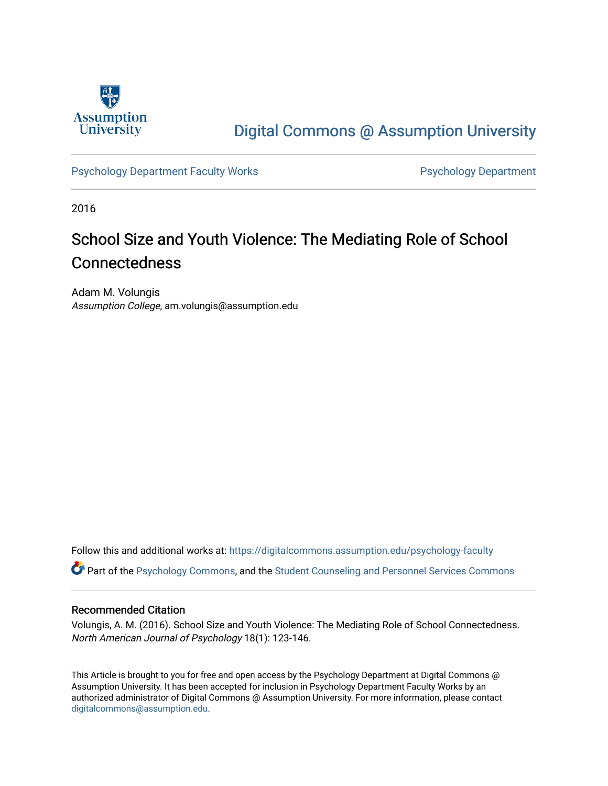

# [Digital Commons @ Assumption University](https://digitalcommons.assumption.edu/)

[Psychology Department Faculty Works](https://digitalcommons.assumption.edu/psychology-faculty) **Psychology Department** 

2016

# School Size and Youth Violence: The Mediating Role of School Connectedness

Adam M. Volungis Assumption College, am.volungis@assumption.edu

Follow this and additional works at: [https://digitalcommons.assumption.edu/psychology-faculty](https://digitalcommons.assumption.edu/psychology-faculty?utm_source=digitalcommons.assumption.edu%2Fpsychology-faculty%2F4&utm_medium=PDF&utm_campaign=PDFCoverPages) 

Part of the [Psychology Commons,](http://network.bepress.com/hgg/discipline/404?utm_source=digitalcommons.assumption.edu%2Fpsychology-faculty%2F4&utm_medium=PDF&utm_campaign=PDFCoverPages) and the [Student Counseling and Personnel Services Commons](http://network.bepress.com/hgg/discipline/802?utm_source=digitalcommons.assumption.edu%2Fpsychology-faculty%2F4&utm_medium=PDF&utm_campaign=PDFCoverPages)

# Recommended Citation

Volungis, A. M. (2016). School Size and Youth Violence: The Mediating Role of School Connectedness. North American Journal of Psychology 18(1): 123-146.

This Article is brought to you for free and open access by the Psychology Department at Digital Commons @ Assumption University. It has been accepted for inclusion in Psychology Department Faculty Works by an authorized administrator of Digital Commons @ Assumption University. For more information, please contact [digitalcommons@assumption.edu](mailto:digitalcommons@assumption.edu).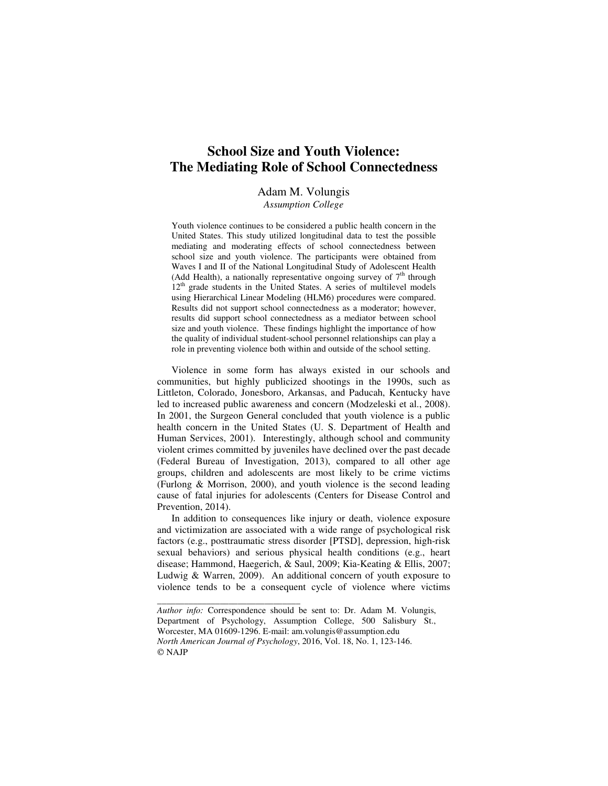# **School Size and Youth Violence: The Mediating Role of School Connectedness**

# Adam M. Volungis

*Assumption College* 

Youth violence continues to be considered a public health concern in the United States. This study utilized longitudinal data to test the possible mediating and moderating effects of school connectedness between school size and youth violence. The participants were obtained from Waves I and II of the National Longitudinal Study of Adolescent Health (Add Health), a nationally representative ongoing survey of  $7<sup>th</sup>$  through  $12<sup>th</sup>$  grade students in the United States. A series of multilevel models using Hierarchical Linear Modeling (HLM6) procedures were compared. Results did not support school connectedness as a moderator; however, results did support school connectedness as a mediator between school size and youth violence. These findings highlight the importance of how the quality of individual student-school personnel relationships can play a role in preventing violence both within and outside of the school setting.

Violence in some form has always existed in our schools and communities, but highly publicized shootings in the 1990s, such as Littleton, Colorado, Jonesboro, Arkansas, and Paducah, Kentucky have led to increased public awareness and concern (Modzeleski et al., 2008). In 2001, the Surgeon General concluded that youth violence is a public health concern in the United States (U. S. Department of Health and Human Services, 2001). Interestingly, although school and community violent crimes committed by juveniles have declined over the past decade (Federal Bureau of Investigation, 2013), compared to all other age groups, children and adolescents are most likely to be crime victims (Furlong & Morrison, 2000), and youth violence is the second leading cause of fatal injuries for adolescents (Centers for Disease Control and Prevention, 2014).

In addition to consequences like injury or death, violence exposure and victimization are associated with a wide range of psychological risk factors (e.g., posttraumatic stress disorder [PTSD], depression, high-risk sexual behaviors) and serious physical health conditions (e.g., heart disease; Hammond, Haegerich, & Saul, 2009; Kia-Keating & Ellis, 2007; Ludwig & Warren, 2009). An additional concern of youth exposure to violence tends to be a consequent cycle of violence where victims

*\_\_\_\_\_\_\_\_\_\_\_\_\_\_\_\_\_\_\_\_\_\_\_\_\_\_\_\_\_\_\_\_* 

*Author info:* Correspondence should be sent to: Dr. Adam M. Volungis, Department of Psychology, Assumption College, 500 Salisbury St., Worcester, MA 01609-1296. E-mail: am.volungis@assumption.edu *North American Journal of Psychology*, 2016, Vol. 18, No. 1, 123-146. © NAJP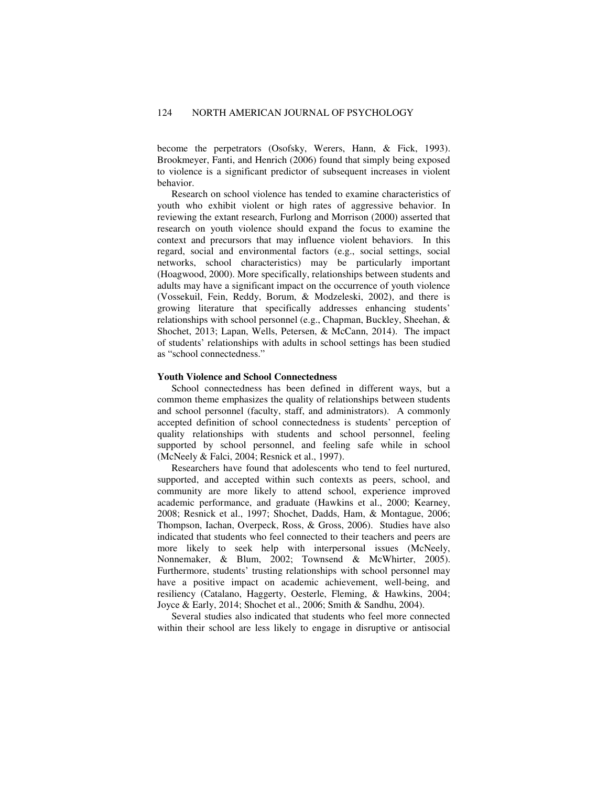become the perpetrators (Osofsky, Werers, Hann, & Fick, 1993). Brookmeyer, Fanti, and Henrich (2006) found that simply being exposed to violence is a significant predictor of subsequent increases in violent behavior.

Research on school violence has tended to examine characteristics of youth who exhibit violent or high rates of aggressive behavior. In reviewing the extant research, Furlong and Morrison (2000) asserted that research on youth violence should expand the focus to examine the context and precursors that may influence violent behaviors. In this regard, social and environmental factors (e.g., social settings, social networks, school characteristics) may be particularly important (Hoagwood, 2000). More specifically, relationships between students and adults may have a significant impact on the occurrence of youth violence (Vossekuil, Fein, Reddy, Borum, & Modzeleski, 2002), and there is growing literature that specifically addresses enhancing students' relationships with school personnel (e.g., Chapman, Buckley, Sheehan, & Shochet, 2013; Lapan, Wells, Petersen, & McCann, 2014). The impact of students' relationships with adults in school settings has been studied as "school connectedness."

#### **Youth Violence and School Connectedness**

School connectedness has been defined in different ways, but a common theme emphasizes the quality of relationships between students and school personnel (faculty, staff, and administrators). A commonly accepted definition of school connectedness is students' perception of quality relationships with students and school personnel, feeling supported by school personnel, and feeling safe while in school (McNeely & Falci, 2004; Resnick et al., 1997).

Researchers have found that adolescents who tend to feel nurtured, supported, and accepted within such contexts as peers, school, and community are more likely to attend school, experience improved academic performance, and graduate (Hawkins et al., 2000; Kearney, 2008; Resnick et al., 1997; Shochet, Dadds, Ham, & Montague, 2006; Thompson, Iachan, Overpeck, Ross, & Gross, 2006). Studies have also indicated that students who feel connected to their teachers and peers are more likely to seek help with interpersonal issues (McNeely, Nonnemaker, & Blum, 2002; Townsend & McWhirter, 2005). Furthermore, students' trusting relationships with school personnel may have a positive impact on academic achievement, well-being, and resiliency (Catalano, Haggerty, Oesterle, Fleming, & Hawkins, 2004; Joyce & Early, 2014; Shochet et al., 2006; Smith & Sandhu, 2004).

Several studies also indicated that students who feel more connected within their school are less likely to engage in disruptive or antisocial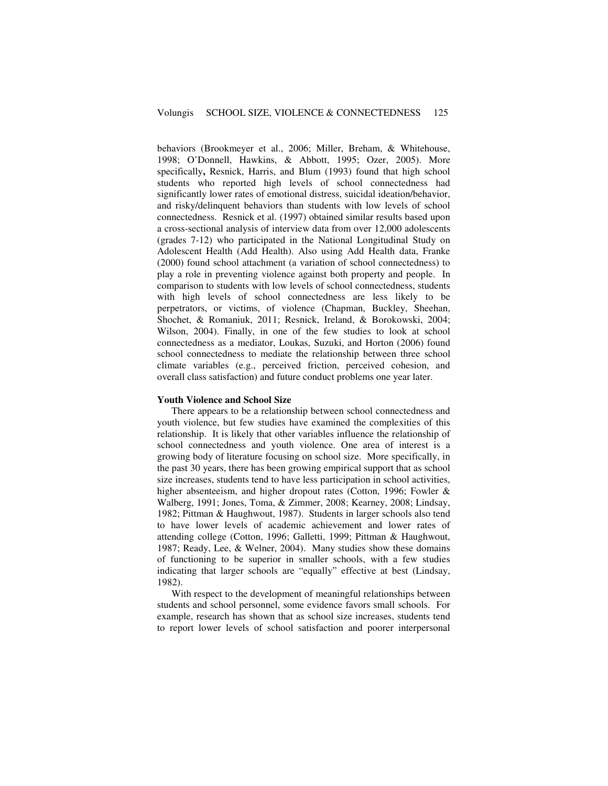behaviors (Brookmeyer et al., 2006; Miller, Breham, & Whitehouse, 1998; O'Donnell, Hawkins, & Abbott, 1995; Ozer, 2005). More specifically**,** Resnick, Harris, and Blum (1993) found that high school students who reported high levels of school connectedness had significantly lower rates of emotional distress, suicidal ideation/behavior, and risky/delinquent behaviors than students with low levels of school connectedness. Resnick et al. (1997) obtained similar results based upon a cross-sectional analysis of interview data from over 12,000 adolescents (grades 7-12) who participated in the National Longitudinal Study on Adolescent Health (Add Health). Also using Add Health data, Franke (2000) found school attachment (a variation of school connectedness) to play a role in preventing violence against both property and people. In comparison to students with low levels of school connectedness, students with high levels of school connectedness are less likely to be perpetrators, or victims, of violence (Chapman, Buckley, Sheehan, Shochet, & Romaniuk, 2011; Resnick, Ireland, & Borokowski, 2004; Wilson, 2004). Finally, in one of the few studies to look at school connectedness as a mediator, Loukas, Suzuki, and Horton (2006) found school connectedness to mediate the relationship between three school climate variables (e.g., perceived friction, perceived cohesion, and overall class satisfaction) and future conduct problems one year later.

#### **Youth Violence and School Size**

There appears to be a relationship between school connectedness and youth violence, but few studies have examined the complexities of this relationship. It is likely that other variables influence the relationship of school connectedness and youth violence. One area of interest is a growing body of literature focusing on school size. More specifically, in the past 30 years, there has been growing empirical support that as school size increases, students tend to have less participation in school activities, higher absenteeism, and higher dropout rates (Cotton, 1996; Fowler & Walberg, 1991; Jones, Toma, & Zimmer, 2008; Kearney, 2008; Lindsay, 1982; Pittman & Haughwout, 1987). Students in larger schools also tend to have lower levels of academic achievement and lower rates of attending college (Cotton, 1996; Galletti, 1999; Pittman & Haughwout, 1987; Ready, Lee, & Welner, 2004). Many studies show these domains of functioning to be superior in smaller schools, with a few studies indicating that larger schools are "equally" effective at best (Lindsay, 1982).

With respect to the development of meaningful relationships between students and school personnel, some evidence favors small schools. For example, research has shown that as school size increases, students tend to report lower levels of school satisfaction and poorer interpersonal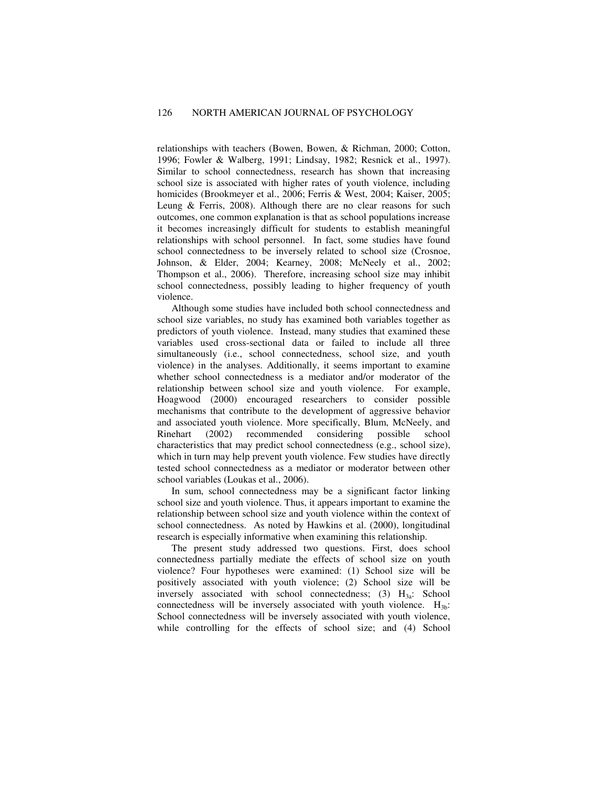relationships with teachers (Bowen, Bowen, & Richman, 2000; Cotton, 1996; Fowler & Walberg, 1991; Lindsay, 1982; Resnick et al., 1997). Similar to school connectedness, research has shown that increasing school size is associated with higher rates of youth violence, including homicides (Brookmeyer et al., 2006; Ferris & West, 2004; Kaiser, 2005; Leung & Ferris, 2008). Although there are no clear reasons for such outcomes, one common explanation is that as school populations increase it becomes increasingly difficult for students to establish meaningful relationships with school personnel. In fact, some studies have found school connectedness to be inversely related to school size (Crosnoe, Johnson, & Elder, 2004; Kearney, 2008; McNeely et al., 2002; Thompson et al., 2006). Therefore, increasing school size may inhibit school connectedness, possibly leading to higher frequency of youth violence.

Although some studies have included both school connectedness and school size variables, no study has examined both variables together as predictors of youth violence. Instead, many studies that examined these variables used cross-sectional data or failed to include all three simultaneously (i.e., school connectedness, school size, and youth violence) in the analyses. Additionally, it seems important to examine whether school connectedness is a mediator and/or moderator of the relationship between school size and youth violence. For example, Hoagwood (2000) encouraged researchers to consider possible mechanisms that contribute to the development of aggressive behavior and associated youth violence. More specifically, Blum, McNeely, and Rinehart (2002) recommended considering possible school characteristics that may predict school connectedness (e.g., school size), which in turn may help prevent youth violence. Few studies have directly tested school connectedness as a mediator or moderator between other school variables (Loukas et al., 2006).

In sum, school connectedness may be a significant factor linking school size and youth violence. Thus, it appears important to examine the relationship between school size and youth violence within the context of school connectedness. As noted by Hawkins et al. (2000), longitudinal research is especially informative when examining this relationship.

The present study addressed two questions. First, does school connectedness partially mediate the effects of school size on youth violence? Four hypotheses were examined: (1) School size will be positively associated with youth violence; (2) School size will be inversely associated with school connectedness;  $(3)$  H<sub>3a</sub>: School connectedness will be inversely associated with youth violence.  $H_{3b}$ : School connectedness will be inversely associated with youth violence, while controlling for the effects of school size; and (4) School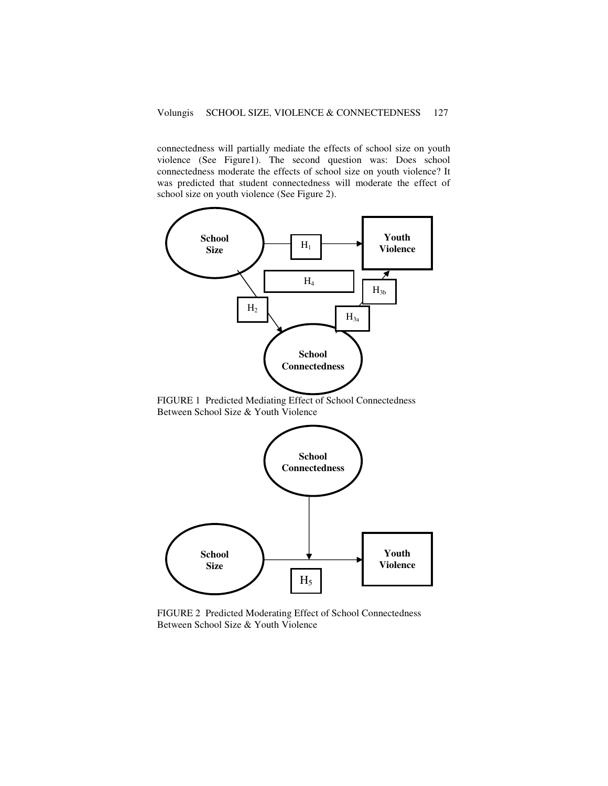connectedness will partially mediate the effects of school size on youth violence (See Figure1). The second question was: Does school connectedness moderate the effects of school size on youth violence? It was predicted that student connectedness will moderate the effect of school size on youth violence (See Figure 2).



FIGURE 1 Predicted Mediating Effect of School Connectedness Between School Size & Youth Violence



FIGURE 2 Predicted Moderating Effect of School Connectedness Between School Size & Youth Violence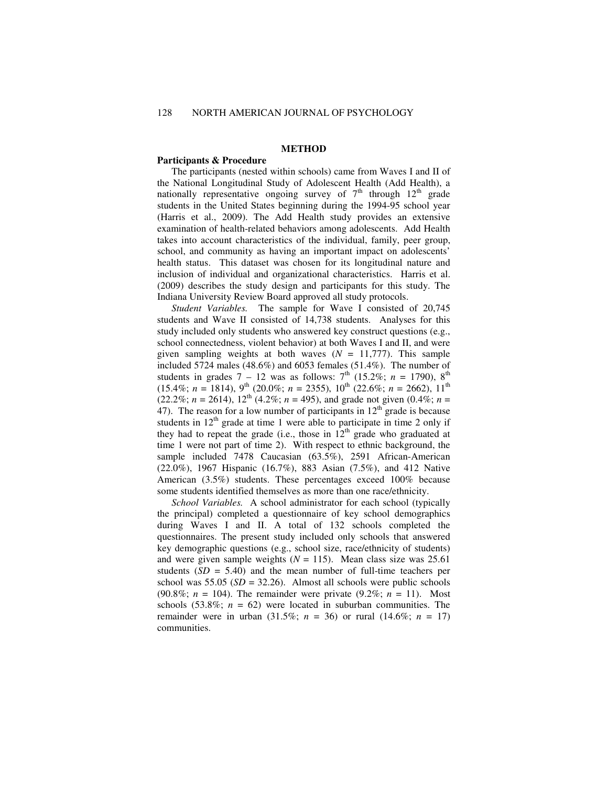# **METHOD**

# **Participants & Procedure**

The participants (nested within schools) came from Waves I and II of the National Longitudinal Study of Adolescent Health (Add Health), a nationally representative ongoing survey of  $7<sup>th</sup>$  through  $12<sup>th</sup>$  grade students in the United States beginning during the 1994-95 school year (Harris et al., 2009). The Add Health study provides an extensive examination of health-related behaviors among adolescents. Add Health takes into account characteristics of the individual, family, peer group, school, and community as having an important impact on adolescents' health status. This dataset was chosen for its longitudinal nature and inclusion of individual and organizational characteristics. Harris et al. (2009) describes the study design and participants for this study. The Indiana University Review Board approved all study protocols.

*Student Variables.* The sample for Wave I consisted of 20,745 students and Wave II consisted of 14,738 students. Analyses for this study included only students who answered key construct questions (e.g., school connectedness, violent behavior) at both Waves I and II, and were given sampling weights at both waves  $(N = 11,777)$ . This sample included 5724 males (48.6%) and 6053 females (51.4%). The number of students in grades  $7 - 12$  was as follows:  $7<sup>th</sup>$  (15.2%; *n* = 1790), 8<sup>th</sup> (15.4%; *n* = 1814), 9<sup>th</sup> (20.0%; *n* = 2355), 10<sup>th</sup> (22.6%; *n* = 2662), 11<sup>th</sup>  $(22.2\%, n = 2614), 12^{\text{th}} (4.2\%, n = 495),$  and grade not given  $(0.4\%, n = 120\%)$ 47). The reason for a low number of participants in  $12<sup>th</sup>$  grade is because students in  $12<sup>th</sup>$  grade at time 1 were able to participate in time 2 only if they had to repeat the grade (i.e., those in  $12<sup>th</sup>$  grade who graduated at time 1 were not part of time 2). With respect to ethnic background, the sample included 7478 Caucasian (63.5%), 2591 African-American (22.0%), 1967 Hispanic (16.7%), 883 Asian (7.5%), and 412 Native American (3.5%) students. These percentages exceed 100% because some students identified themselves as more than one race/ethnicity.

*School Variables.* A school administrator for each school (typically the principal) completed a questionnaire of key school demographics during Waves I and II. A total of 132 schools completed the questionnaires. The present study included only schools that answered key demographic questions (e.g., school size, race/ethnicity of students) and were given sample weights  $(N = 115)$ . Mean class size was 25.61 students  $(SD = 5.40)$  and the mean number of full-time teachers per school was  $55.05$  ( $SD = 32.26$ ). Almost all schools were public schools (90.8%; *n* = 104). The remainder were private (9.2%; *n* = 11). Most schools  $(53.8\%; n = 62)$  were located in suburban communities. The remainder were in urban (31.5%; *n* = 36) or rural (14.6%; *n* = 17) communities.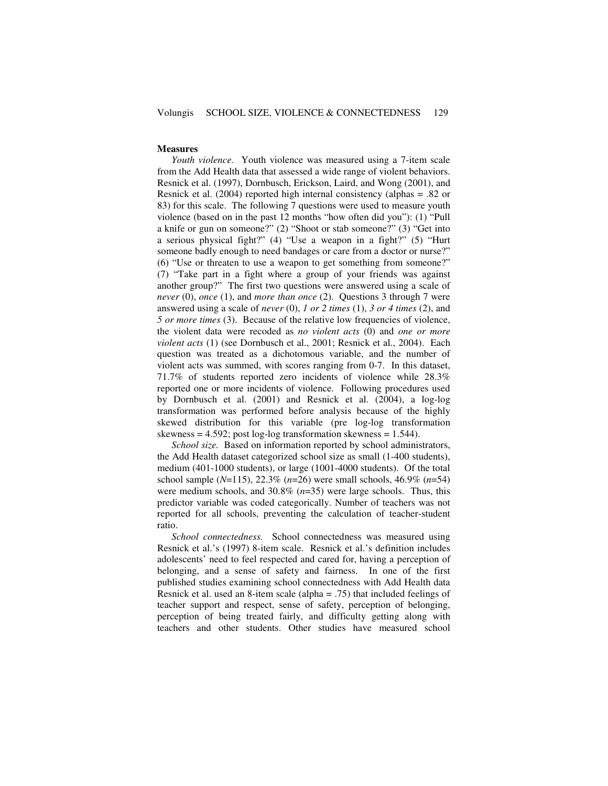#### **Measures**

*Youth violence.* Youth violence was measured using a 7-item scale from the Add Health data that assessed a wide range of violent behaviors. Resnick et al. (1997), Dornbusch, Erickson, Laird, and Wong (2001), and Resnick et al. (2004) reported high internal consistency (alphas = .82 or 83) for this scale. The following 7 questions were used to measure youth violence (based on in the past 12 months "how often did you"): (1) "Pull a knife or gun on someone?" (2) "Shoot or stab someone?" (3) "Get into a serious physical fight?" (4) "Use a weapon in a fight?" (5) "Hurt someone badly enough to need bandages or care from a doctor or nurse?" (6) "Use or threaten to use a weapon to get something from someone?" (7) "Take part in a fight where a group of your friends was against another group?"The first two questions were answered using a scale of *never* (0), *once* (1), and *more than once* (2). Questions 3 through 7 were answered using a scale of *never* (0), *1 or 2 times* (1), *3 or 4 times* (2), and *5 or more times* (3). Because of the relative low frequencies of violence, the violent data were recoded as *no violent acts* (0) and *one or more violent acts* (1) (see Dornbusch et al., 2001; Resnick et al., 2004). Each question was treated as a dichotomous variable, and the number of violent acts was summed, with scores ranging from 0-7. In this dataset, 71.7% of students reported zero incidents of violence while 28.3% reported one or more incidents of violence. Following procedures used by Dornbusch et al. (2001) and Resnick et al. (2004), a log-log transformation was performed before analysis because of the highly skewed distribution for this variable (pre log-log transformation skewness =  $4.592$ ; post log-log transformation skewness = 1.544).

*School size.* Based on information reported by school administrators, the Add Health dataset categorized school size as small (1-400 students), medium (401-1000 students), or large (1001-4000 students). Of the total school sample (*N*=115), 22.3% (*n*=26) were small schools, 46.9% (*n*=54) were medium schools, and 30.8% (*n*=35) were large schools. Thus, this predictor variable was coded categorically. Number of teachers was not reported for all schools, preventing the calculation of teacher-student ratio.

*School connectedness.* School connectedness was measured using Resnick et al.'s (1997) 8-item scale. Resnick et al.'s definition includes adolescents' need to feel respected and cared for, having a perception of belonging, and a sense of safety and fairness. In one of the first published studies examining school connectedness with Add Health data Resnick et al. used an 8-item scale (alpha = .75) that included feelings of teacher support and respect, sense of safety, perception of belonging, perception of being treated fairly, and difficulty getting along with teachers and other students. Other studies have measured school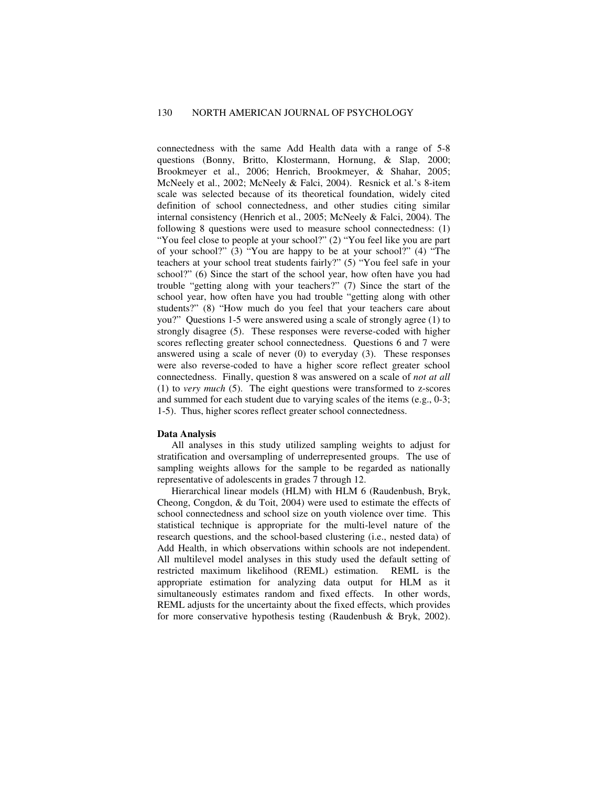connectedness with the same Add Health data with a range of 5-8 questions (Bonny, Britto, Klostermann, Hornung, & Slap, 2000; Brookmeyer et al., 2006; Henrich, Brookmeyer, & Shahar, 2005; McNeely et al., 2002; McNeely & Falci, 2004). Resnick et al.'s 8-item scale was selected because of its theoretical foundation, widely cited definition of school connectedness, and other studies citing similar internal consistency (Henrich et al., 2005; McNeely & Falci, 2004). The following 8 questions were used to measure school connectedness: (1) "You feel close to people at your school?" (2) "You feel like you are part of your school?" (3) "You are happy to be at your school?" (4) "The teachers at your school treat students fairly?" (5) "You feel safe in your school?" (6) Since the start of the school year, how often have you had trouble "getting along with your teachers?" (7) Since the start of the school year, how often have you had trouble "getting along with other students?" (8) "How much do you feel that your teachers care about you?" Questions 1-5 were answered using a scale of strongly agree (1) to strongly disagree (5). These responses were reverse-coded with higher scores reflecting greater school connectedness. Questions 6 and 7 were answered using a scale of never  $(0)$  to everyday  $(3)$ . These responses were also reverse-coded to have a higher score reflect greater school connectedness. Finally, question 8 was answered on a scale of *not at all* (1) to *very much* (5). The eight questions were transformed to z-scores and summed for each student due to varying scales of the items (e.g., 0-3; 1-5). Thus, higher scores reflect greater school connectedness.

#### **Data Analysis**

All analyses in this study utilized sampling weights to adjust for stratification and oversampling of underrepresented groups. The use of sampling weights allows for the sample to be regarded as nationally representative of adolescents in grades 7 through 12.

Hierarchical linear models (HLM) with HLM 6 (Raudenbush, Bryk, Cheong, Congdon, & du Toit, 2004) were used to estimate the effects of school connectedness and school size on youth violence over time. This statistical technique is appropriate for the multi-level nature of the research questions, and the school-based clustering (i.e., nested data) of Add Health, in which observations within schools are not independent. All multilevel model analyses in this study used the default setting of restricted maximum likelihood (REML) estimation. REML is the appropriate estimation for analyzing data output for HLM as it simultaneously estimates random and fixed effects. In other words, REML adjusts for the uncertainty about the fixed effects, which provides for more conservative hypothesis testing (Raudenbush & Bryk, 2002).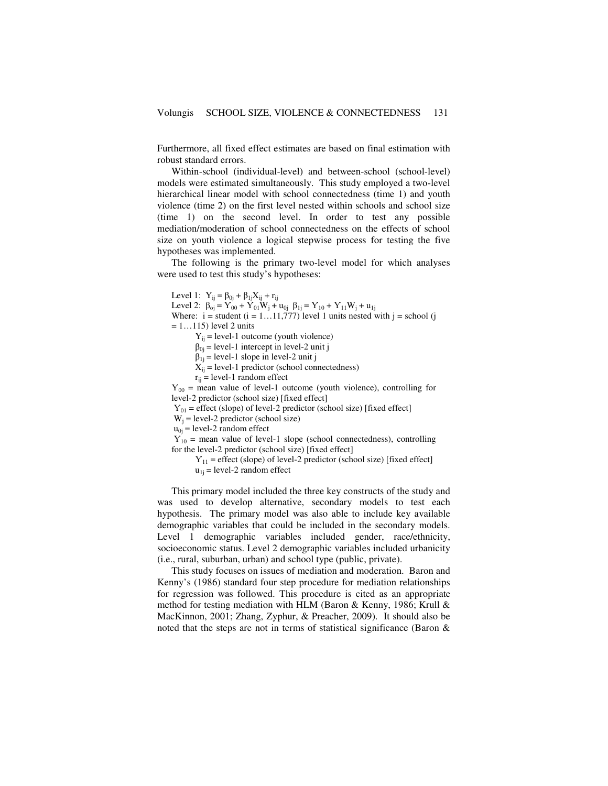Furthermore, all fixed effect estimates are based on final estimation with robust standard errors.

Within-school (individual-level) and between-school (school-level) models were estimated simultaneously. This study employed a two-level hierarchical linear model with school connectedness (time 1) and youth violence (time 2) on the first level nested within schools and school size (time 1) on the second level. In order to test any possible mediation/moderation of school connectedness on the effects of school size on youth violence a logical stepwise process for testing the five hypotheses was implemented.

The following is the primary two-level model for which analyses were used to test this study's hypotheses:

Level 1:  $Y_{ij} = \beta_{0j} + \beta_{1j}X_{ij} + r_{ij}$ Level 2:  $\beta_{oj} = Y_{00} + Y_{01}W_j + u_{0j} \ \beta_{1j} = Y_{10} + Y_{11}W_j + u_{1j}$ Where:  $i =$  student  $(i = 1...11,777)$  level 1 units nested with  $j =$  school (j  $= 1...115$ ) level 2 units  $Y_{ii}$  = level-1 outcome (youth violence)  $\beta_{0j}$  = level-1 intercept in level-2 unit j  $\beta_{1j}$  = level-1 slope in level-2 unit j  $X_{ij}$  = level-1 predictor (school connectedness)  $r_{ii}$  = level-1 random effect  $Y_{00}$  = mean value of level-1 outcome (youth violence), controlling for level-2 predictor (school size) [fixed effect]  $Y_{01}$  = effect (slope) of level-2 predictor (school size) [fixed effect]  $W_j$  = level-2 predictor (school size)  $u_{0i}$  = level-2 random effect  $Y_{10}$  = mean value of level-1 slope (school connectedness), controlling for the level-2 predictor (school size) [fixed effect]  $Y_{11}$  = effect (slope) of level-2 predictor (school size) [fixed effect]  $u_{1j}$  = level-2 random effect

This primary model included the three key constructs of the study and was used to develop alternative, secondary models to test each hypothesis. The primary model was also able to include key available demographic variables that could be included in the secondary models. Level 1 demographic variables included gender, race/ethnicity, socioeconomic status. Level 2 demographic variables included urbanicity (i.e., rural, suburban, urban) and school type (public, private).

This study focuses on issues of mediation and moderation. Baron and Kenny's (1986) standard four step procedure for mediation relationships for regression was followed. This procedure is cited as an appropriate method for testing mediation with HLM (Baron & Kenny, 1986; Krull & MacKinnon, 2001; Zhang, Zyphur, & Preacher, 2009). It should also be noted that the steps are not in terms of statistical significance (Baron &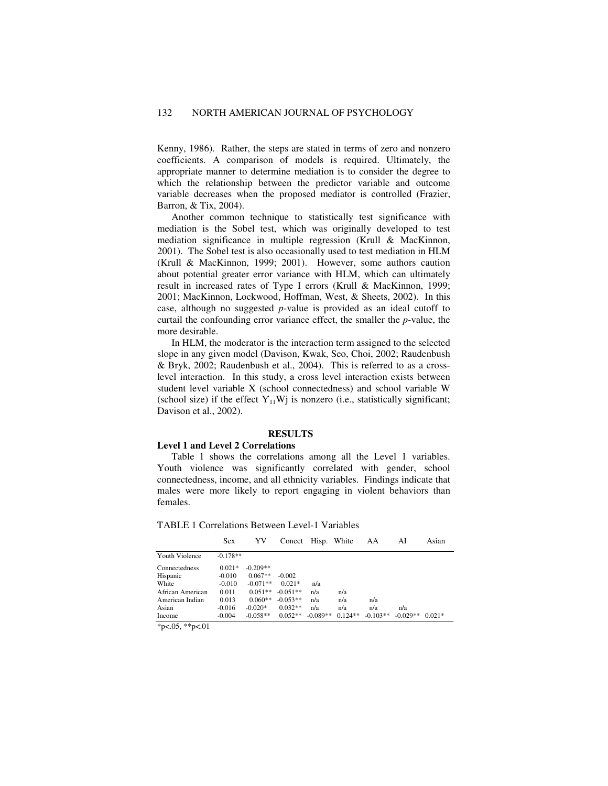Kenny, 1986). Rather, the steps are stated in terms of zero and nonzero coefficients. A comparison of models is required. Ultimately, the appropriate manner to determine mediation is to consider the degree to which the relationship between the predictor variable and outcome variable decreases when the proposed mediator is controlled (Frazier, Barron, & Tix, 2004).

Another common technique to statistically test significance with mediation is the Sobel test, which was originally developed to test mediation significance in multiple regression (Krull & MacKinnon, 2001). The Sobel test is also occasionally used to test mediation in HLM (Krull & MacKinnon, 1999; 2001). However, some authors caution about potential greater error variance with HLM, which can ultimately result in increased rates of Type I errors (Krull & MacKinnon, 1999; 2001; MacKinnon, Lockwood, Hoffman, West, & Sheets, 2002). In this case, although no suggested *p*-value is provided as an ideal cutoff to curtail the confounding error variance effect, the smaller the *p*-value, the more desirable.

In HLM, the moderator is the interaction term assigned to the selected slope in any given model (Davison, Kwak, Seo, Choi, 2002; Raudenbush & Bryk, 2002; Raudenbush et al., 2004). This is referred to as a crosslevel interaction. In this study, a cross level interaction exists between student level variable X (school connectedness) and school variable W (school size) if the effect  $Y_{11}W$ j is nonzero (i.e., statistically significant; Davison et al., 2002).

# **RESULTS**

#### **Level 1 and Level 2 Correlations**

Table 1 shows the correlations among all the Level 1 variables. Youth violence was significantly correlated with gender, school connectedness, income, and all ethnicity variables. Findings indicate that males were more likely to report engaging in violent behaviors than females.

TABLE 1 Correlations Between Level-1 Variables

|                  | <b>Sex</b> | YV         | Conect     | Hisp. White |           | AA         | AI         | Asian    |
|------------------|------------|------------|------------|-------------|-----------|------------|------------|----------|
| Youth Violence   | $-0.178**$ |            |            |             |           |            |            |          |
| Connectedness    | $0.021*$   | $-0.209**$ |            |             |           |            |            |          |
| Hispanic         | $-0.010$   | $0.067**$  | $-0.002$   |             |           |            |            |          |
| White            | $-0.010$   | $-0.071**$ | $0.021*$   | n/a         |           |            |            |          |
| African American | 0.011      | $0.051**$  | $-0.051**$ | n/a         | n/a       |            |            |          |
| American Indian  | 0.013      | $0.060**$  | $-0.053**$ | n/a         | n/a       | n/a        |            |          |
| Asian            | $-0.016$   | $-0.020*$  | $0.032**$  | n/a         | n/a       | n/a        | n/a        |          |
| Income           | $-0.004$   | $-0.058**$ | $0.052**$  | $-0.089**$  | $0.124**$ | $-0.103**$ | $-0.029**$ | $0.021*$ |

\*p<.05, \*\*p<.01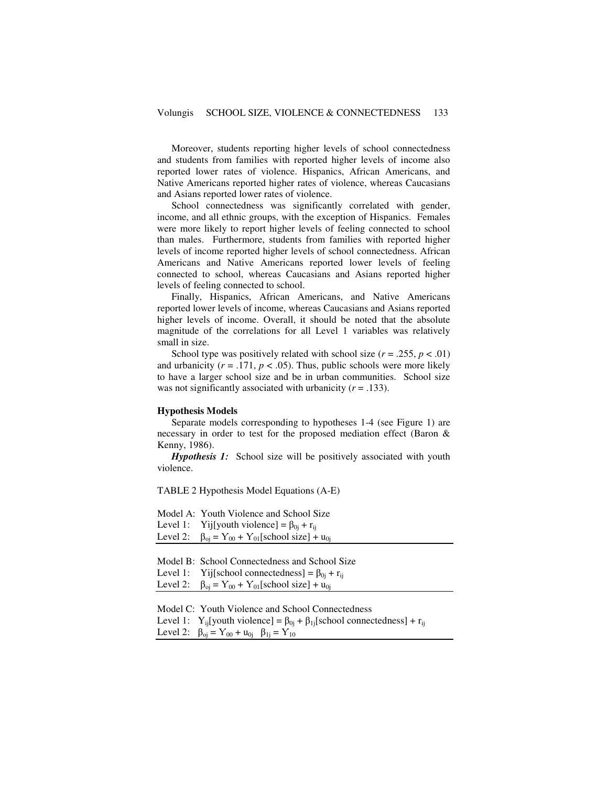Moreover, students reporting higher levels of school connectedness and students from families with reported higher levels of income also reported lower rates of violence. Hispanics, African Americans, and Native Americans reported higher rates of violence, whereas Caucasians and Asians reported lower rates of violence.

School connectedness was significantly correlated with gender, income, and all ethnic groups, with the exception of Hispanics. Females were more likely to report higher levels of feeling connected to school than males. Furthermore, students from families with reported higher levels of income reported higher levels of school connectedness. African Americans and Native Americans reported lower levels of feeling connected to school, whereas Caucasians and Asians reported higher levels of feeling connected to school.

Finally, Hispanics, African Americans, and Native Americans reported lower levels of income, whereas Caucasians and Asians reported higher levels of income. Overall, it should be noted that the absolute magnitude of the correlations for all Level 1 variables was relatively small in size.

School type was positively related with school size  $(r = .255, p < .01)$ and urbanicity  $(r = .171, p < .05)$ . Thus, public schools were more likely to have a larger school size and be in urban communities. School size was not significantly associated with urbanicity  $(r = .133)$ .

### **Hypothesis Models**

Separate models corresponding to hypotheses 1-4 (see Figure 1) are necessary in order to test for the proposed mediation effect (Baron & Kenny, 1986).

*Hypothesis 1:* School size will be positively associated with youth violence.

TABLE 2 Hypothesis Model Equations (A-E)

Model A: Youth Violence and School Size Level 1: Yij[youth violence] =  $\beta_{0i}$  +  $r_{ii}$ Level 2:  $\beta_{oj} = Y_{00} + Y_{01}$ [school size] + u<sub>0j</sub>

Model B: School Connectedness and School Size Level 1: Yij[school connectedness] =  $\beta_{0j}$  + r<sub>ij</sub> Level 2:  $\beta_{0} = Y_{00} + Y_{01}$ [school size] + u<sub>0j</sub>

Model C: Youth Violence and School Connectedness

Level 1: Y<sub>ij</sub>[youth violence] =  $\beta_{0j}$  +  $\beta_{1j}$ [school connectedness] + r<sub>ij</sub> Level 2:  $\beta_{oj} = Y_{00} + u_{0j}$   $\beta_{1j} = Y_{10}$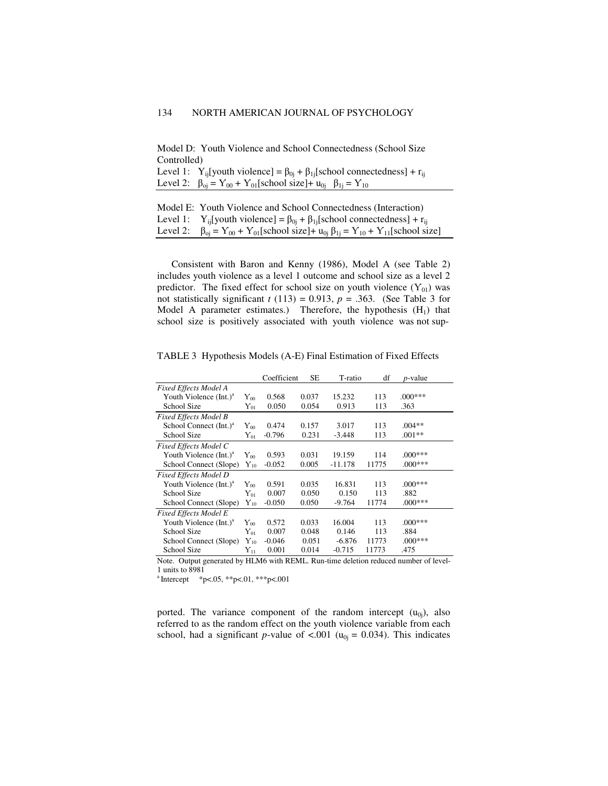Model D: Youth Violence and School Connectedness (School Size Controlled)

Level 1:  $Y_{ij}$ [youth violence] =  $\beta_{0j}$  +  $\beta_{1j}$ [school connectedness] +  $r_{ij}$ Level 2:  $\beta_{0j} = Y_{00} + Y_{01}$ [school size]+  $u_{0j}$   $\beta_{1j} = Y_{10}$ 

| Model E: Youth Violence and School Connectedness (Interaction)                                             |
|------------------------------------------------------------------------------------------------------------|
| Level 1: $Y_{ii}$ [youth violence] = $\beta_{0i} + \beta_{1i}$ [school connectedness] + r <sub>ii</sub>    |
| Level 2: $\beta_{0i} = Y_{00} + Y_{01}$ [school size]+ $u_{0i} \beta_{1i} = Y_{10} + Y_{11}$ [school size] |

Consistent with Baron and Kenny (1986), Model A (see Table 2) includes youth violence as a level 1 outcome and school size as a level 2 predictor. The fixed effect for school size on youth violence  $(Y_{01})$  was not statistically significant  $t(113) = 0.913$ ,  $p = .363$ . (See Table 3 for Model A parameter estimates.) Therefore, the hypothesis  $(H_1)$  that school size is positively associated with youth violence was not sup-

TABLE 3 Hypothesis Models (A-E) Final Estimation of Fixed Effects

|                                      |                | Coefficient | <b>SE</b> | T-ratio   | df    | <i>p</i> -value |
|--------------------------------------|----------------|-------------|-----------|-----------|-------|-----------------|
| <b>Fixed Effects Model A</b>         |                |             |           |           |       |                 |
| Youth Violence $(Int.)a$<br>$Y_{00}$ |                | 0.568       | 0.037     | 15.232    | 113   | $.000***$       |
| School Size<br>${\rm Y}_{01}$        |                | 0.050       | 0.054     | 0.913     | 113   | .363            |
| <b>Fixed Effects Model B</b>         |                |             |           |           |       |                 |
| School Connect (Int.) <sup>a</sup>   | ${\rm Y}_{00}$ | 0.474       | 0.157     | 3.017     | 113   | $.004**$        |
| School Size                          |                | $-0.796$    | 0.231     | $-3.448$  | 113   | $.001**$        |
| <b>Fixed Effects Model C</b>         |                |             |           |           |       |                 |
| Youth Violence (Int.) <sup>a</sup>   | ${\rm Y}_{00}$ | 0.593       | 0.031     | 19.159    | 114   | $.000***$       |
| School Connect (Slope)               | $Y_{10}$       | $-0.052$    | 0.005     | $-11.178$ | 11775 | $.000***$       |
| <b>Fixed Effects Model D</b>         |                |             |           |           |       |                 |
| Youth Violence $(Int.)a$             | ${\rm Y}_{00}$ | 0.591       | 0.035     | 16.831    | 113   | $.000***$       |
| School Size                          | ${\rm Y}_{01}$ | 0.007       | 0.050     | 0.150     | 113   | .882            |
| School Connect (Slope)               | ${\rm Y}_{10}$ | $-0.050$    | 0.050     | $-9.764$  | 11774 | $.000***$       |
| <b>Fixed Effects Model E</b>         |                |             |           |           |       |                 |
| Youth Violence $(Int.)a$             | ${\rm Y}_{00}$ | 0.572       | 0.033     | 16.004    | 113   | $.000***$       |
| School Size<br>${\rm Y}_{01}$        |                | 0.007       | 0.048     | 0.146     | 113   | .884            |
| School Connect (Slope)<br>$Y_{10}$   |                | $-0.046$    | 0.051     | $-6.876$  | 11773 | $.000***$       |
| School Size                          | ${\rm Y}_{11}$ | 0.001       | 0.014     | $-0.715$  | 11773 | .475            |

Note. Output generated by HLM6 with REML. Run-time deletion reduced number of level-1 units to 8981

 $a$ Intercept  $*p<.05$ ,  $*p<.01$ ,  $**p<.001$ 

ported. The variance component of the random intercept  $(u_{0i})$ , also referred to as the random effect on the youth violence variable from each school, had a significant *p*-value of <.001 ( $u_{0j} = 0.034$ ). This indicates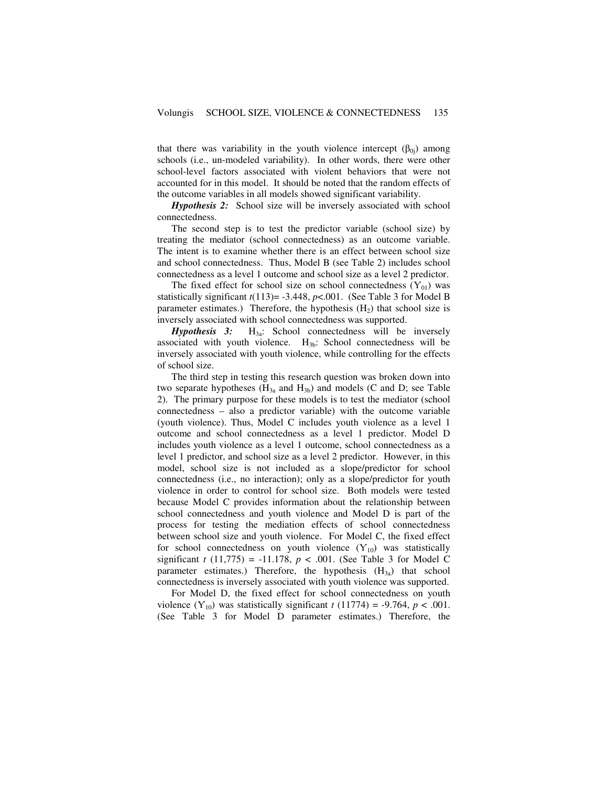that there was variability in the youth violence intercept  $(\beta_{0i})$  among schools (i.e., un-modeled variability). In other words, there were other school-level factors associated with violent behaviors that were not accounted for in this model. It should be noted that the random effects of the outcome variables in all models showed significant variability.

*Hypothesis 2:* School size will be inversely associated with school connectedness.

The second step is to test the predictor variable (school size) by treating the mediator (school connectedness) as an outcome variable. The intent is to examine whether there is an effect between school size and school connectedness. Thus, Model B (see Table 2) includes school connectedness as a level 1 outcome and school size as a level 2 predictor.

The fixed effect for school size on school connectedness  $(Y_{01})$  was statistically significant  $t(113)$ = -3.448,  $p$ <.001. (See Table 3 for Model B parameter estimates.) Therefore, the hypothesis  $(H_2)$  that school size is inversely associated with school connectedness was supported.

*Hypothesis 3:* H<sub>3a</sub>: School connectedness will be inversely associated with youth violence.  $H_{3b}$ : School connectedness will be inversely associated with youth violence, while controlling for the effects of school size.

The third step in testing this research question was broken down into two separate hypotheses  $(H_{3a}$  and  $H_{3b})$  and models (C and D; see Table 2). The primary purpose for these models is to test the mediator (school connectedness – also a predictor variable) with the outcome variable (youth violence). Thus, Model C includes youth violence as a level 1 outcome and school connectedness as a level 1 predictor. Model D includes youth violence as a level 1 outcome, school connectedness as a level 1 predictor, and school size as a level 2 predictor. However, in this model, school size is not included as a slope/predictor for school connectedness (i.e., no interaction); only as a slope/predictor for youth violence in order to control for school size. Both models were tested because Model C provides information about the relationship between school connectedness and youth violence and Model D is part of the process for testing the mediation effects of school connectedness between school size and youth violence. For Model C, the fixed effect for school connectedness on youth violence  $(Y_{10})$  was statistically significant *t* (11,775) = -11.178,  $p < .001$ . (See Table 3 for Model C parameter estimates.) Therefore, the hypothesis  $(H_{3a})$  that school connectedness is inversely associated with youth violence was supported.

For Model D, the fixed effect for school connectedness on youth violence  $(Y_{10})$  was statistically significant  $t(11774) = -9.764$ ,  $p < .001$ . (See Table 3 for Model D parameter estimates.) Therefore, the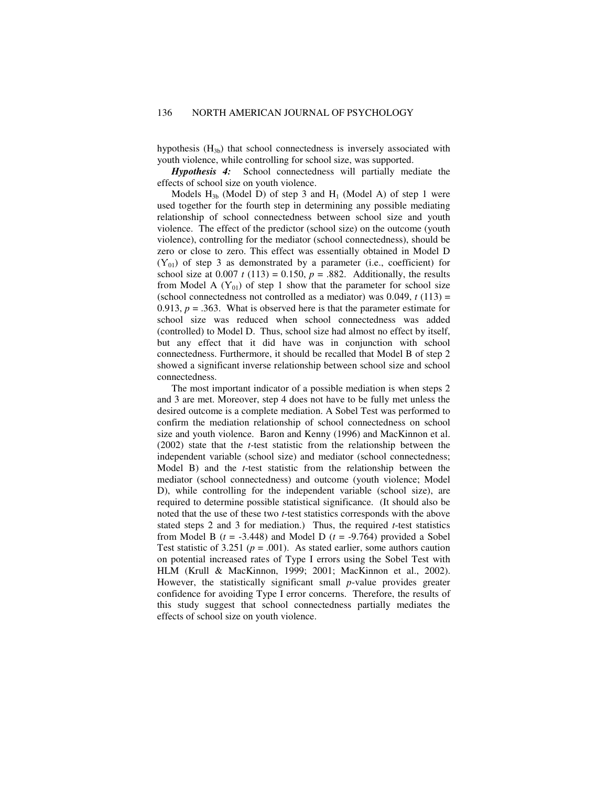hypothesis  $(H_{3b})$  that school connectedness is inversely associated with youth violence, while controlling for school size, was supported.

*Hypothesis 4:* School connectedness will partially mediate the effects of school size on youth violence.

Models  $H_{3b}$  (Model D) of step 3 and  $H_1$  (Model A) of step 1 were used together for the fourth step in determining any possible mediating relationship of school connectedness between school size and youth violence. The effect of the predictor (school size) on the outcome (youth violence), controlling for the mediator (school connectedness), should be zero or close to zero. This effect was essentially obtained in Model D  $(Y_{01})$  of step 3 as demonstrated by a parameter (i.e., coefficient) for school size at  $0.007 t (113) = 0.150$ ,  $p = .882$ . Additionally, the results from Model A  $(Y_{01})$  of step 1 show that the parameter for school size (school connectedness not controlled as a mediator) was  $0.049$ ,  $t(113)$  = 0.913,  $p = .363$ . What is observed here is that the parameter estimate for school size was reduced when school connectedness was added (controlled) to Model D. Thus, school size had almost no effect by itself, but any effect that it did have was in conjunction with school connectedness. Furthermore, it should be recalled that Model B of step 2 showed a significant inverse relationship between school size and school connectedness.

The most important indicator of a possible mediation is when steps 2 and 3 are met. Moreover, step 4 does not have to be fully met unless the desired outcome is a complete mediation. A Sobel Test was performed to confirm the mediation relationship of school connectedness on school size and youth violence. Baron and Kenny (1996) and MacKinnon et al. (2002) state that the *t*-test statistic from the relationship between the independent variable (school size) and mediator (school connectedness; Model B) and the *t*-test statistic from the relationship between the mediator (school connectedness) and outcome (youth violence; Model D), while controlling for the independent variable (school size), are required to determine possible statistical significance. (It should also be noted that the use of these two *t*-test statistics corresponds with the above stated steps 2 and 3 for mediation.) Thus, the required *t*-test statistics from Model B  $(t = -3.448)$  and Model D  $(t = -9.764)$  provided a Sobel Test statistic of  $3.251$  ( $p = .001$ ). As stated earlier, some authors caution on potential increased rates of Type I errors using the Sobel Test with HLM (Krull & MacKinnon, 1999; 2001; MacKinnon et al., 2002). However, the statistically significant small *p*-value provides greater confidence for avoiding Type I error concerns. Therefore, the results of this study suggest that school connectedness partially mediates the effects of school size on youth violence.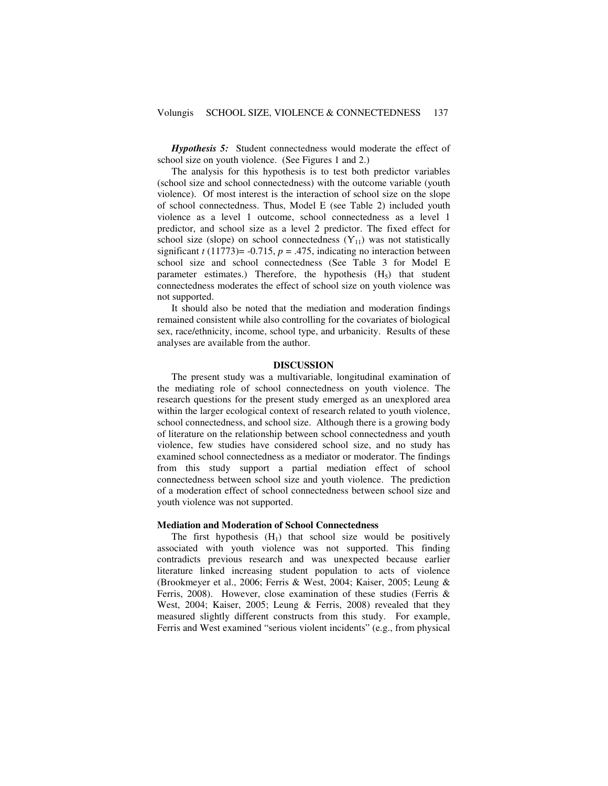*Hypothesis 5:* Student connectedness would moderate the effect of school size on youth violence. (See Figures 1 and 2.)

The analysis for this hypothesis is to test both predictor variables (school size and school connectedness) with the outcome variable (youth violence). Of most interest is the interaction of school size on the slope of school connectedness. Thus, Model E (see Table 2) included youth violence as a level 1 outcome, school connectedness as a level 1 predictor, and school size as a level 2 predictor. The fixed effect for school size (slope) on school connectedness  $(Y_{11})$  was not statistically significant  $t$  (11773)= -0.715,  $p = .475$ , indicating no interaction between school size and school connectedness (See Table 3 for Model E parameter estimates.) Therefore, the hypothesis  $(H_5)$  that student connectedness moderates the effect of school size on youth violence was not supported.

It should also be noted that the mediation and moderation findings remained consistent while also controlling for the covariates of biological sex, race/ethnicity, income, school type, and urbanicity. Results of these analyses are available from the author.

# **DISCUSSION**

The present study was a multivariable, longitudinal examination of the mediating role of school connectedness on youth violence. The research questions for the present study emerged as an unexplored area within the larger ecological context of research related to youth violence, school connectedness, and school size. Although there is a growing body of literature on the relationship between school connectedness and youth violence, few studies have considered school size, and no study has examined school connectedness as a mediator or moderator. The findings from this study support a partial mediation effect of school connectedness between school size and youth violence. The prediction of a moderation effect of school connectedness between school size and youth violence was not supported.

## **Mediation and Moderation of School Connectedness**

The first hypothesis  $(H_1)$  that school size would be positively associated with youth violence was not supported. This finding contradicts previous research and was unexpected because earlier literature linked increasing student population to acts of violence (Brookmeyer et al., 2006; Ferris & West, 2004; Kaiser, 2005; Leung & Ferris, 2008). However, close examination of these studies (Ferris & West, 2004; Kaiser, 2005; Leung & Ferris, 2008) revealed that they measured slightly different constructs from this study. For example, Ferris and West examined "serious violent incidents" (e.g., from physical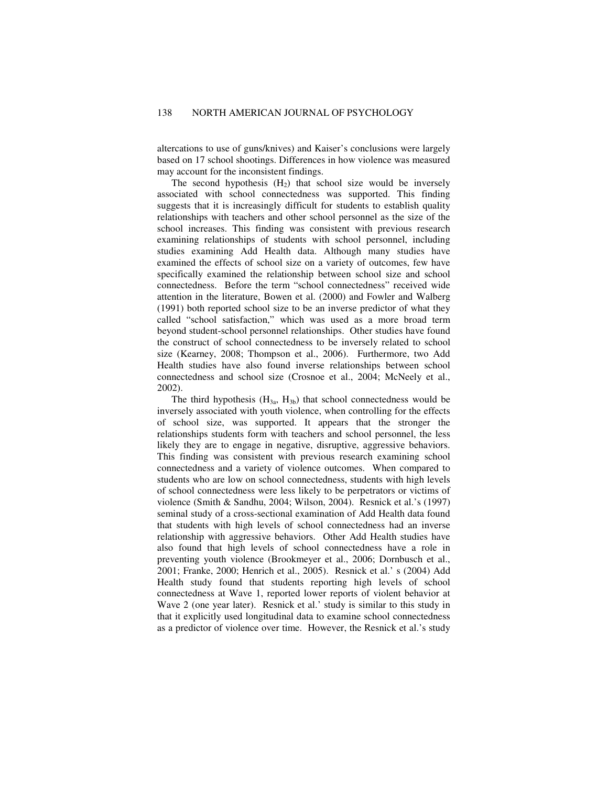altercations to use of guns/knives) and Kaiser's conclusions were largely based on 17 school shootings. Differences in how violence was measured may account for the inconsistent findings.

The second hypothesis  $(H<sub>2</sub>)$  that school size would be inversely associated with school connectedness was supported. This finding suggests that it is increasingly difficult for students to establish quality relationships with teachers and other school personnel as the size of the school increases. This finding was consistent with previous research examining relationships of students with school personnel, including studies examining Add Health data. Although many studies have examined the effects of school size on a variety of outcomes, few have specifically examined the relationship between school size and school connectedness. Before the term "school connectedness" received wide attention in the literature, Bowen et al. (2000) and Fowler and Walberg (1991) both reported school size to be an inverse predictor of what they called "school satisfaction," which was used as a more broad term beyond student-school personnel relationships. Other studies have found the construct of school connectedness to be inversely related to school size (Kearney, 2008; Thompson et al., 2006). Furthermore, two Add Health studies have also found inverse relationships between school connectedness and school size (Crosnoe et al., 2004; McNeely et al., 2002).

The third hypothesis  $(H_{3a}, H_{3b})$  that school connectedness would be inversely associated with youth violence, when controlling for the effects of school size, was supported. It appears that the stronger the relationships students form with teachers and school personnel, the less likely they are to engage in negative, disruptive, aggressive behaviors. This finding was consistent with previous research examining school connectedness and a variety of violence outcomes. When compared to students who are low on school connectedness, students with high levels of school connectedness were less likely to be perpetrators or victims of violence (Smith & Sandhu, 2004; Wilson, 2004). Resnick et al.'s (1997) seminal study of a cross-sectional examination of Add Health data found that students with high levels of school connectedness had an inverse relationship with aggressive behaviors. Other Add Health studies have also found that high levels of school connectedness have a role in preventing youth violence (Brookmeyer et al., 2006; Dornbusch et al., 2001; Franke, 2000; Henrich et al., 2005). Resnick et al.' s (2004) Add Health study found that students reporting high levels of school connectedness at Wave 1, reported lower reports of violent behavior at Wave 2 (one year later). Resnick et al.' study is similar to this study in that it explicitly used longitudinal data to examine school connectedness as a predictor of violence over time. However, the Resnick et al.'s study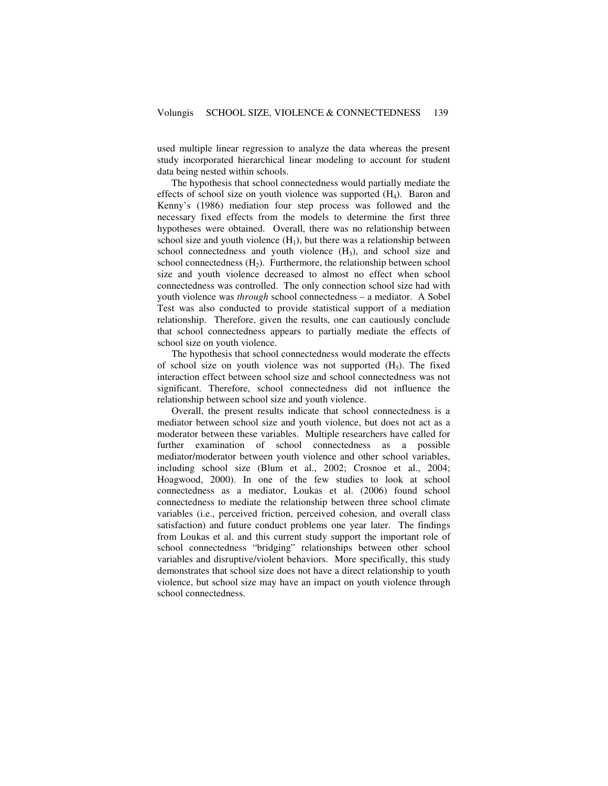used multiple linear regression to analyze the data whereas the present study incorporated hierarchical linear modeling to account for student data being nested within schools.

The hypothesis that school connectedness would partially mediate the effects of school size on youth violence was supported  $(H_4)$ . Baron and Kenny's (1986) mediation four step process was followed and the necessary fixed effects from the models to determine the first three hypotheses were obtained. Overall, there was no relationship between school size and youth violence  $(H_1)$ , but there was a relationship between school connectedness and youth violence  $(H_3)$ , and school size and school connectedness  $(H_2)$ . Furthermore, the relationship between school size and youth violence decreased to almost no effect when school connectedness was controlled.The only connection school size had with youth violence was *through* school connectedness – a mediator. A Sobel Test was also conducted to provide statistical support of a mediation relationship. Therefore, given the results, one can cautiously conclude that school connectedness appears to partially mediate the effects of school size on youth violence.

The hypothesis that school connectedness would moderate the effects of school size on youth violence was not supported  $(H<sub>5</sub>)$ . The fixed interaction effect between school size and school connectedness was not significant. Therefore, school connectedness did not influence the relationship between school size and youth violence.

Overall, the present results indicate that school connectedness is a mediator between school size and youth violence, but does not act as a moderator between these variables. Multiple researchers have called for further examination of school connectedness as a possible mediator/moderator between youth violence and other school variables, including school size (Blum et al., 2002; Crosnoe et al., 2004; Hoagwood, 2000). In one of the few studies to look at school connectedness as a mediator, Loukas et al. (2006) found school connectedness to mediate the relationship between three school climate variables (i.e., perceived friction, perceived cohesion, and overall class satisfaction) and future conduct problems one year later. The findings from Loukas et al. and this current study support the important role of school connectedness "bridging" relationships between other school variables and disruptive/violent behaviors. More specifically, this study demonstrates that school size does not have a direct relationship to youth violence, but school size may have an impact on youth violence through school connectedness.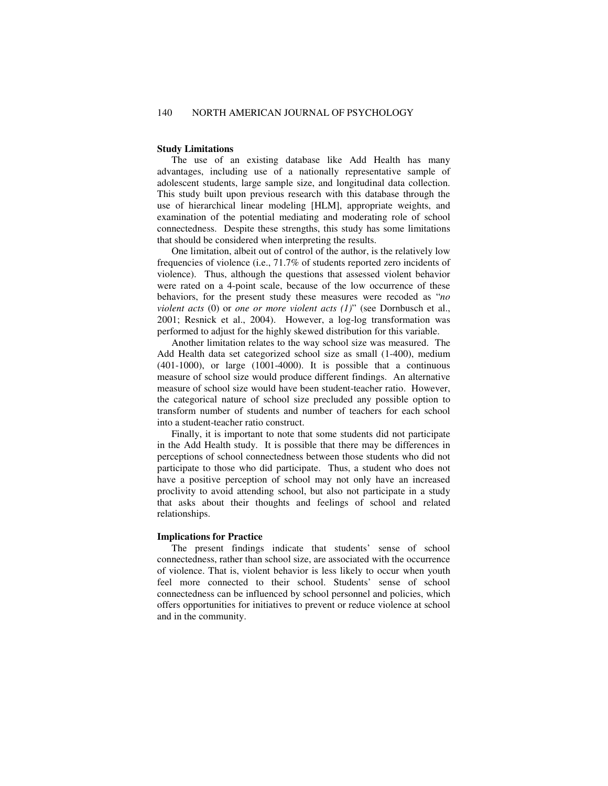#### **Study Limitations**

The use of an existing database like Add Health has many advantages, including use of a nationally representative sample of adolescent students, large sample size, and longitudinal data collection. This study built upon previous research with this database through the use of hierarchical linear modeling [HLM], appropriate weights, and examination of the potential mediating and moderating role of school connectedness. Despite these strengths, this study has some limitations that should be considered when interpreting the results.

One limitation, albeit out of control of the author, is the relatively low frequencies of violence (i.e., 71.7% of students reported zero incidents of violence). Thus, although the questions that assessed violent behavior were rated on a 4-point scale, because of the low occurrence of these behaviors, for the present study these measures were recoded as "*no violent acts* (0) or *one or more violent acts (1)*" (see Dornbusch et al., 2001; Resnick et al., 2004). However, a log-log transformation was performed to adjust for the highly skewed distribution for this variable.

Another limitation relates to the way school size was measured. The Add Health data set categorized school size as small (1-400), medium (401-1000), or large (1001-4000). It is possible that a continuous measure of school size would produce different findings. An alternative measure of school size would have been student-teacher ratio. However, the categorical nature of school size precluded any possible option to transform number of students and number of teachers for each school into a student-teacher ratio construct.

Finally, it is important to note that some students did not participate in the Add Health study. It is possible that there may be differences in perceptions of school connectedness between those students who did not participate to those who did participate. Thus, a student who does not have a positive perception of school may not only have an increased proclivity to avoid attending school, but also not participate in a study that asks about their thoughts and feelings of school and related relationships.

## **Implications for Practice**

The present findings indicate that students' sense of school connectedness, rather than school size, are associated with the occurrence of violence. That is, violent behavior is less likely to occur when youth feel more connected to their school. Students' sense of school connectedness can be influenced by school personnel and policies, which offers opportunities for initiatives to prevent or reduce violence at school and in the community.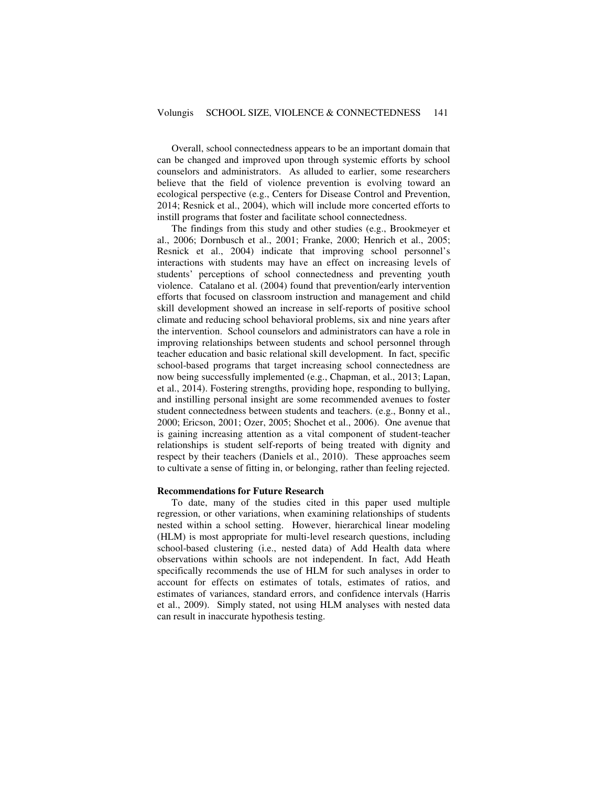Overall, school connectedness appears to be an important domain that can be changed and improved upon through systemic efforts by school counselors and administrators. As alluded to earlier, some researchers believe that the field of violence prevention is evolving toward an ecological perspective (e.g., Centers for Disease Control and Prevention, 2014; Resnick et al., 2004), which will include more concerted efforts to instill programs that foster and facilitate school connectedness.

The findings from this study and other studies (e.g., Brookmeyer et al., 2006; Dornbusch et al., 2001; Franke, 2000; Henrich et al., 2005; Resnick et al., 2004) indicate that improving school personnel's interactions with students may have an effect on increasing levels of students' perceptions of school connectedness and preventing youth violence. Catalano et al. (2004) found that prevention/early intervention efforts that focused on classroom instruction and management and child skill development showed an increase in self-reports of positive school climate and reducing school behavioral problems, six and nine years after the intervention. School counselors and administrators can have a role in improving relationships between students and school personnel through teacher education and basic relational skill development. In fact, specific school-based programs that target increasing school connectedness are now being successfully implemented (e.g., Chapman, et al., 2013; Lapan, et al., 2014). Fostering strengths, providing hope, responding to bullying, and instilling personal insight are some recommended avenues to foster student connectedness between students and teachers. (e.g., Bonny et al., 2000; Ericson, 2001; Ozer, 2005; Shochet et al., 2006). One avenue that is gaining increasing attention as a vital component of student-teacher relationships is student self-reports of being treated with dignity and respect by their teachers (Daniels et al., 2010). These approaches seem to cultivate a sense of fitting in, or belonging, rather than feeling rejected.

# **Recommendations for Future Research**

To date, many of the studies cited in this paper used multiple regression, or other variations, when examining relationships of students nested within a school setting. However, hierarchical linear modeling (HLM) is most appropriate for multi-level research questions, including school-based clustering (i.e., nested data) of Add Health data where observations within schools are not independent. In fact, Add Heath specifically recommends the use of HLM for such analyses in order to account for effects on estimates of totals, estimates of ratios, and estimates of variances, standard errors, and confidence intervals (Harris et al., 2009). Simply stated, not using HLM analyses with nested data can result in inaccurate hypothesis testing.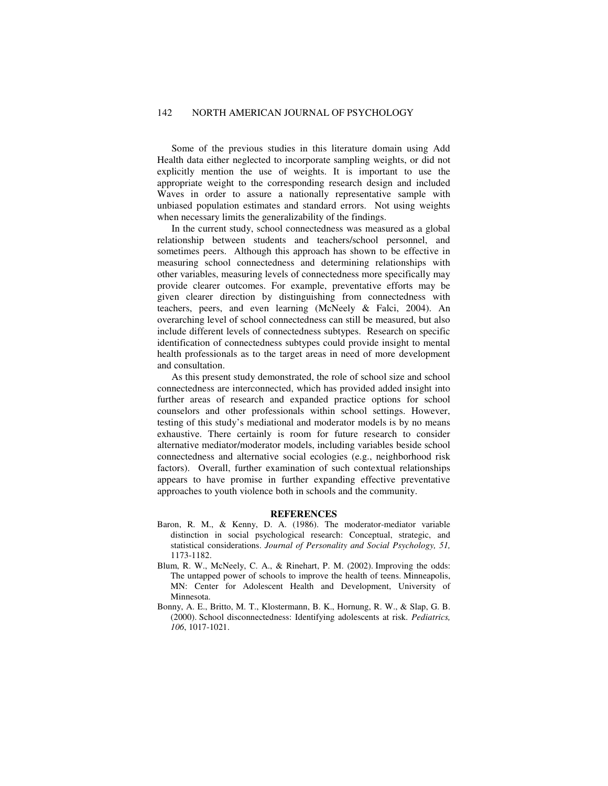Some of the previous studies in this literature domain using Add Health data either neglected to incorporate sampling weights, or did not explicitly mention the use of weights. It is important to use the appropriate weight to the corresponding research design and included Waves in order to assure a nationally representative sample with unbiased population estimates and standard errors. Not using weights when necessary limits the generalizability of the findings.

In the current study, school connectedness was measured as a global relationship between students and teachers/school personnel, and sometimes peers. Although this approach has shown to be effective in measuring school connectedness and determining relationships with other variables, measuring levels of connectedness more specifically may provide clearer outcomes. For example, preventative efforts may be given clearer direction by distinguishing from connectedness with teachers, peers, and even learning (McNeely & Falci, 2004). An overarching level of school connectedness can still be measured, but also include different levels of connectedness subtypes. Research on specific identification of connectedness subtypes could provide insight to mental health professionals as to the target areas in need of more development and consultation.

As this present study demonstrated, the role of school size and school connectedness are interconnected, which has provided added insight into further areas of research and expanded practice options for school counselors and other professionals within school settings. However, testing of this study's mediational and moderator models is by no means exhaustive. There certainly is room for future research to consider alternative mediator/moderator models, including variables beside school connectedness and alternative social ecologies (e.g., neighborhood risk factors). Overall, further examination of such contextual relationships appears to have promise in further expanding effective preventative approaches to youth violence both in schools and the community.

# **REFERENCES**

- Baron, R. M., & Kenny, D. A. (1986). The moderator-mediator variable distinction in social psychological research: Conceptual, strategic, and statistical considerations. *Journal of Personality and Social Psychology, 51,* 1173-1182.
- Blum, R. W., McNeely, C. A., & Rinehart, P. M. (2002). Improving the odds: The untapped power of schools to improve the health of teens. Minneapolis, MN: Center for Adolescent Health and Development, University of Minnesota.
- Bonny, A. E., Britto, M. T., Klostermann, B. K., Hornung, R. W., & Slap, G. B. (2000). School disconnectedness: Identifying adolescents at risk. *Pediatrics, 106*, 1017-1021.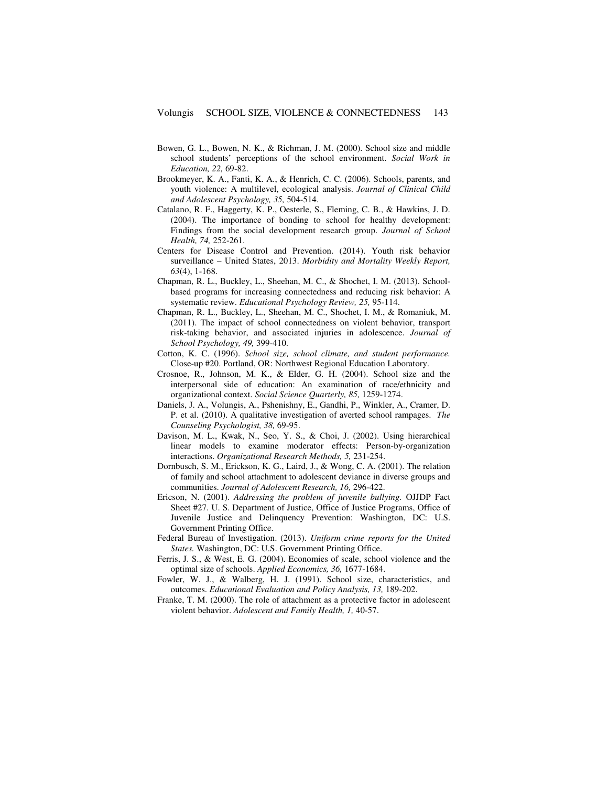- Bowen, G. L., Bowen, N. K., & Richman, J. M. (2000). School size and middle school students' perceptions of the school environment. *Social Work in Education, 22,* 69-82.
- Brookmeyer, K. A., Fanti, K. A., & Henrich, C. C. (2006). Schools, parents, and youth violence: A multilevel, ecological analysis. *Journal of Clinical Child and Adolescent Psychology, 35,* 504-514.
- Catalano, R. F., Haggerty, K. P., Oesterle, S., Fleming, C. B., & Hawkins, J. D. (2004). The importance of bonding to school for healthy development: Findings from the social development research group. *Journal of School Health, 74,* 252-261.
- Centers for Disease Control and Prevention. (2014). Youth risk behavior surveillance – United States, 2013. *Morbidity and Mortality Weekly Report, 63*(4), 1-168.
- Chapman, R. L., Buckley, L., Sheehan, M. C., & Shochet, I. M. (2013). Schoolbased programs for increasing connectedness and reducing risk behavior: A systematic review. *Educational Psychology Review, 25,* 95-114.
- Chapman, R. L., Buckley, L., Sheehan, M. C., Shochet, I. M., & Romaniuk, M. (2011). The impact of school connectedness on violent behavior, transport risk-taking behavior, and associated injuries in adolescence. *Journal of School Psychology, 49,* 399-410.
- Cotton, K. C. (1996). *School size, school climate, and student performance.* Close-up #20. Portland, OR: Northwest Regional Education Laboratory.
- Crosnoe, R., Johnson, M. K., & Elder, G. H. (2004). School size and the interpersonal side of education: An examination of race/ethnicity and organizational context. *Social Science Quarterly, 85,* 1259-1274.
- Daniels, J. A., Volungis, A., Pshenishny, E., Gandhi, P., Winkler, A., Cramer, D. P. et al. (2010). A qualitative investigation of averted school rampages. *The Counseling Psychologist, 38,* 69-95.
- Davison, M. L., Kwak, N., Seo, Y. S., & Choi, J. (2002). Using hierarchical linear models to examine moderator effects: Person-by-organization interactions. *Organizational Research Methods, 5,* 231-254.
- Dornbusch, S. M., Erickson, K. G., Laird, J., & Wong, C. A. (2001). The relation of family and school attachment to adolescent deviance in diverse groups and communities. *Journal of Adolescent Research, 16,* 296-422.
- Ericson, N. (2001). *Addressing the problem of juvenile bullying.* OJJDP Fact Sheet #27. U. S. Department of Justice, Office of Justice Programs, Office of Juvenile Justice and Delinquency Prevention: Washington, DC: U.S. Government Printing Office.
- Federal Bureau of Investigation. (2013). *Uniform crime reports for the United States.* Washington, DC: U.S. Government Printing Office.
- Ferris, J. S., & West, E. G. (2004). Economies of scale, school violence and the optimal size of schools. *Applied Economics, 36,* 1677-1684.
- Fowler, W. J., & Walberg, H. J. (1991). School size, characteristics, and outcomes. *Educational Evaluation and Policy Analysis, 13,* 189-202.
- Franke, T. M. (2000). The role of attachment as a protective factor in adolescent violent behavior. *Adolescent and Family Health, 1,* 40-57.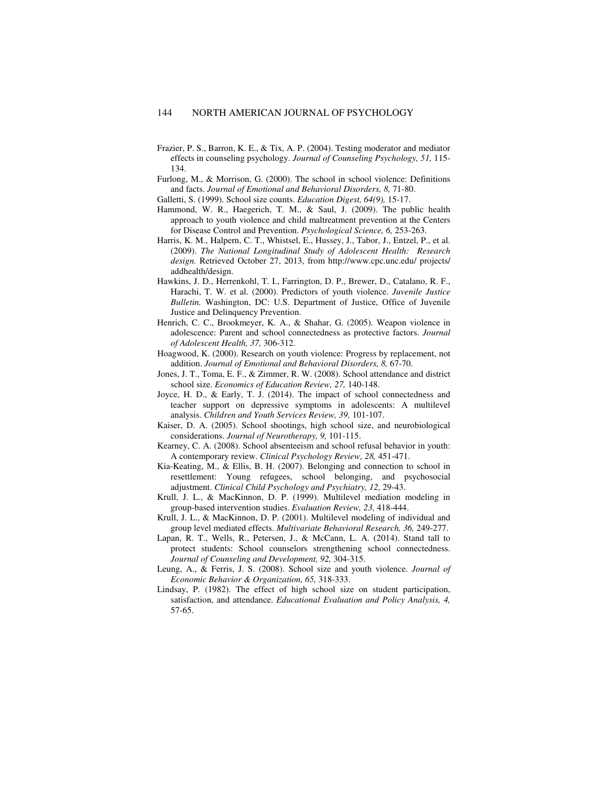- Frazier, P. S., Barron, K. E., & Tix, A. P. (2004). Testing moderator and mediator effects in counseling psychology. *Journal of Counseling Psychology, 51,* 115- 134.
- Furlong, M., & Morrison, G. (2000). The school in school violence: Definitions and facts. *Journal of Emotional and Behavioral Disorders, 8,* 71-80.
- Galletti, S. (1999). School size counts. *Education Digest, 64(9),* 15-17.
- Hammond, W. R., Haegerich, T. M., & Saul, J. (2009). The public health approach to youth violence and child maltreatment prevention at the Centers for Disease Control and Prevention. *Psychological Science, 6,* 253-263.
- Harris, K. M., Halpern, C. T., Whistsel, E., Hussey, J., Tabor, J., Entzel, P., et al. (2009). *The National Longitudinal Study of Adolescent Health: Research design.* Retrieved October 27, 2013, from http://www.cpc.unc.edu/ projects/ addhealth/design.
- Hawkins, J. D., Herrenkohl, T. I., Farrington, D. P., Brewer, D., Catalano, R. F., Harachi, T. W. et al. (2000). Predictors of youth violence. *Juvenile Justice Bulletin.* Washington, DC: U.S. Department of Justice, Office of Juvenile Justice and Delinquency Prevention.
- Henrich, C. C., Brookmeyer, K. A., & Shahar, G. (2005). Weapon violence in adolescence: Parent and school connectedness as protective factors. *Journal of Adolescent Health, 37,* 306-312.
- Hoagwood, K. (2000). Research on youth violence: Progress by replacement, not addition. *Journal of Emotional and Behavioral Disorders, 8,* 67-70.
- Jones, J. T., Toma, E. F., & Zimmer, R. W. (2008). School attendance and district school size. *Economics of Education Review, 27,* 140-148.
- Joyce, H. D., & Early, T. J. (2014). The impact of school connectedness and teacher support on depressive symptoms in adolescents: A multilevel analysis. *Children and Youth Services Review, 39,* 101-107.
- Kaiser, D. A. (2005). School shootings, high school size, and neurobiological considerations. *Journal of Neurotherapy, 9,* 101-115.
- Kearney, C. A. (2008). School absenteeism and school refusal behavior in youth: A contemporary review. *Clinical Psychology Review, 28,* 451-471.
- Kia-Keating, M., & Ellis, B. H. (2007). Belonging and connection to school in resettlement: Young refugees, school belonging, and psychosocial adjustment. *Clinical Child Psychology and Psychiatry, 12,* 29-43.
- Krull, J. L., & MacKinnon, D. P. (1999). Multilevel mediation modeling in group-based intervention studies. *Evaluation Review, 23,* 418-444.
- Krull, J. L., & MacKinnon, D. P. (2001). Multilevel modeling of individual and group level mediated effects. *Multivariate Behavioral Research, 36,* 249-277.
- Lapan, R. T., Wells, R., Petersen, J., & McCann, L. A. (2014). Stand tall to protect students: School counselors strengthening school connectedness. *Journal of Counseling and Development, 92,* 304-315.
- Leung, A., & Ferris, J. S. (2008). School size and youth violence. *Journal of Economic Behavior & Organization, 65,* 318-333.
- Lindsay, P. (1982). The effect of high school size on student participation, satisfaction, and attendance. *Educational Evaluation and Policy Analysis, 4,* 57-65.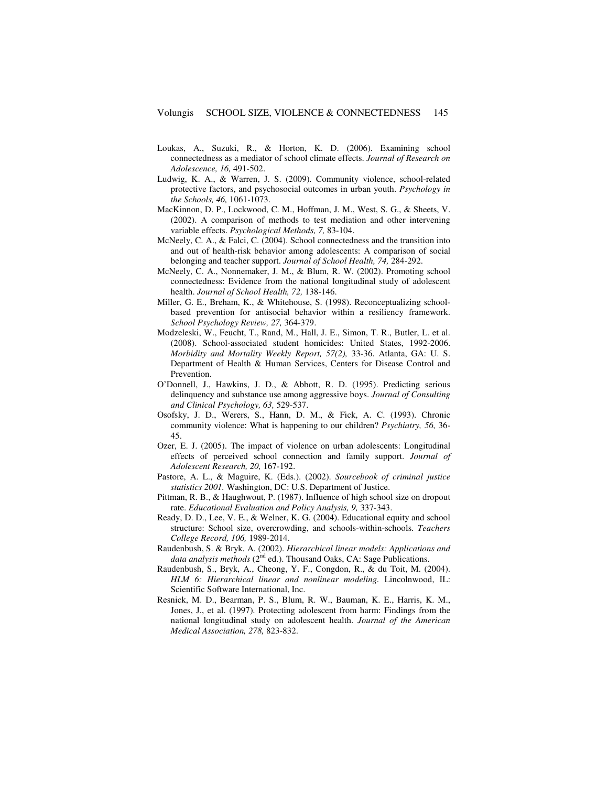- Loukas, A., Suzuki, R., & Horton, K. D. (2006). Examining school connectedness as a mediator of school climate effects. *Journal of Research on Adolescence, 16,* 491-502.
- Ludwig, K. A., & Warren, J. S. (2009). Community violence, school-related protective factors, and psychosocial outcomes in urban youth. *Psychology in the Schools, 46,* 1061-1073.
- MacKinnon, D. P., Lockwood, C. M., Hoffman, J. M., West, S. G., & Sheets, V. (2002). A comparison of methods to test mediation and other intervening variable effects. *Psychological Methods, 7,* 83-104.
- McNeely, C. A., & Falci, C. (2004). School connectedness and the transition into and out of health-risk behavior among adolescents: A comparison of social belonging and teacher support. *Journal of School Health, 74,* 284-292.
- McNeely, C. A., Nonnemaker, J. M., & Blum, R. W. (2002). Promoting school connectedness: Evidence from the national longitudinal study of adolescent health. *Journal of School Health, 72,* 138-146.
- Miller, G. E., Breham, K., & Whitehouse, S. (1998). Reconceptualizing schoolbased prevention for antisocial behavior within a resiliency framework. *School Psychology Review, 27,* 364-379.
- Modzeleski, W., Feucht, T., Rand, M., Hall, J. E., Simon, T. R., Butler, L. et al. (2008). School-associated student homicides: United States, 1992-2006. *Morbidity and Mortality Weekly Report, 57(2),* 33-36. Atlanta, GA: U. S. Department of Health & Human Services, Centers for Disease Control and Prevention.
- O'Donnell, J., Hawkins, J. D., & Abbott, R. D. (1995). Predicting serious delinquency and substance use among aggressive boys. *Journal of Consulting and Clinical Psychology, 63,* 529-537.
- Osofsky, J. D., Werers, S., Hann, D. M., & Fick, A. C. (1993). Chronic community violence: What is happening to our children? *Psychiatry, 56,* 36- 45.
- Ozer, E. J. (2005). The impact of violence on urban adolescents: Longitudinal effects of perceived school connection and family support. *Journal of Adolescent Research, 20,* 167-192.
- Pastore, A. L., & Maguire, K. (Eds.). (2002). *Sourcebook of criminal justice statistics 2001.* Washington, DC: U.S. Department of Justice.
- Pittman, R. B., & Haughwout, P. (1987). Influence of high school size on dropout rate. *Educational Evaluation and Policy Analysis, 9,* 337-343.
- Ready, D. D., Lee, V. E., & Welner, K. G. (2004). Educational equity and school structure: School size, overcrowding, and schools-within-schools. *Teachers College Record, 106,* 1989-2014.
- Raudenbush, S. & Bryk. A. (2002). *Hierarchical linear models: Applications and data analysis methods* (2<sup>nd</sup> ed.). Thousand Oaks, CA: Sage Publications.
- Raudenbush, S., Bryk, A., Cheong, Y. F., Congdon, R., & du Toit, M. (2004). *HLM 6: Hierarchical linear and nonlinear modeling.* Lincolnwood, IL: Scientific Software International, Inc.
- Resnick, M. D., Bearman, P. S., Blum, R. W., Bauman, K. E., Harris, K. M., Jones, J., et al. (1997). Protecting adolescent from harm: Findings from the national longitudinal study on adolescent health. *Journal of the American Medical Association, 278,* 823-832.